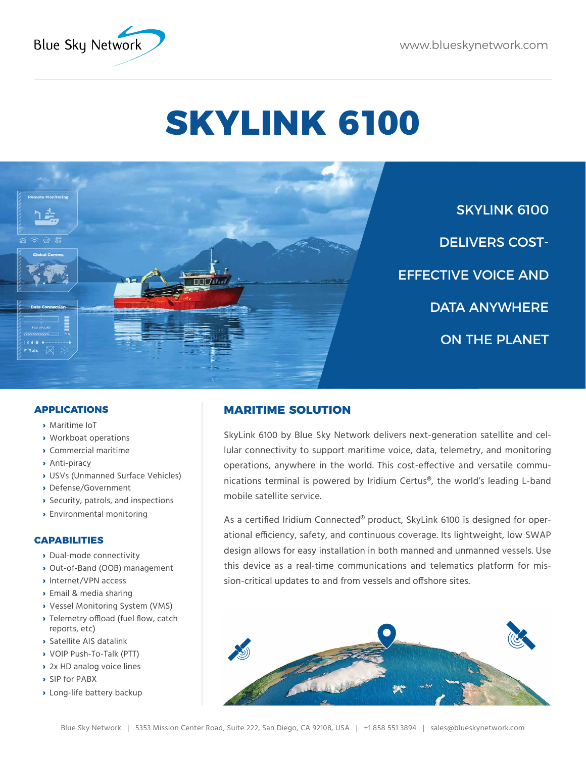

# **SKYLINK 6100**



SKYLINK 6100 DELIVERS COST-EFFECTIVE VOICE AND DATA ANYWHERE ON THE PLANET

## **APPLICATIONS**

- **›** Maritime IoT
- **›** Workboat operations
- **›** Commercial maritime
- **›** Anti-piracy
- **›** USVs (Unmanned Surface Vehicles)
- **›** Defense/Government
- **›** Security, patrols, and inspections
- **›** Environmental monitoring

## **CAPABILITIES**

- **›** Dual-mode connectivity
- **›** Out-of-Band (OOB) management
- **›** Internet/VPN access
- **›** Email & media sharing
- **›** Vessel Monitoring System (VMS)
- **›** Telemetry offload (fuel flow, catch reports, etc)
- **›** Satellite AIS datalink
- **›** VOIP Push-To-Talk (PTT)
- **›** 2x HD analog voice lines
- **›** SIP for PABX
- **›** Long-life battery backup

# **MARITIME SOLUTION**

SkyLink 6100 by Blue Sky Network delivers next-generation satellite and cellular connectivity to support maritime voice, data, telemetry, and monitoring operations, anywhere in the world. This cost-effective and versatile communications terminal is powered by Iridium Certus®, the world's leading L-band mobile satellite service.

As a certified Iridium Connected® product, SkyLink 6100 is designed for operational efficiency, safety, and continuous coverage. Its lightweight, low SWAP design allows for easy installation in both manned and unmanned vessels. Use this device as a real-time communications and telematics platform for mission-critical updates to and from vessels and offshore sites.